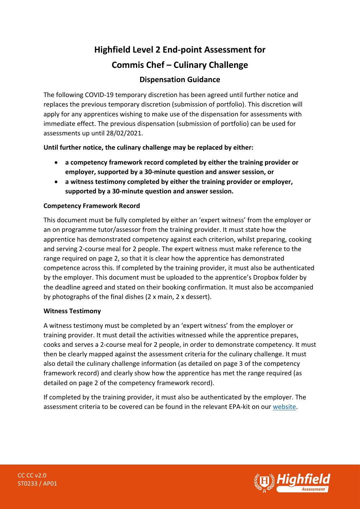# **Highfield Level 2 End-point Assessment for Commis Chef – Culinary Challenge**

# **Dispensation Guidance**

The following COVID-19 temporary discretion has been agreed until further notice and replaces the previous temporary discretion (submission of portfolio). This discretion will apply for any apprentices wishing to make use of the dispensation for assessments with immediate effect. The previous dispensation (submission of portfolio) can be used for assessments up until 28/02/2021.

**Until further notice, the culinary challenge may be replaced by either:**

- **a competency framework record completed by either the training provider or employer, supported by a 30-minute question and answer session, or**
- **a witness testimony completed by either the training provider or employer, supported by a 30-minute question and answer session.**

# **Competency Framework Record**

This document must be fully completed by either an 'expert witness' from the employer or an on programme tutor/assessor from the training provider. It must state how the apprentice has demonstrated competency against each criterion, whilst preparing, cooking and serving 2-course meal for 2 people. The expert witness must make reference to the range required on page 2, so that it is clear how the apprentice has demonstrated competence across this. If completed by the training provider, it must also be authenticated by the employer. This document must be uploaded to the apprentice's Dropbox folder by the deadline agreed and stated on their booking confirmation. It must also be accompanied by photographs of the final dishes (2 x main, 2 x dessert).

#### **Witness Testimony**

A witness testimony must be completed by an 'expert witness' from the employer or training provider. It must detail the activities witnessed while the apprentice prepares, cooks and serves a 2-course meal for 2 people, in order to demonstrate competency. It must then be clearly mapped against the assessment criteria for the culinary challenge. It must also detail the culinary challenge information (as detailed on page 3 of the competency framework record) and clearly show how the apprentice has met the range required (as detailed on page 2 of the competency framework record).

If completed by the training provider, it must also be authenticated by the employer. The assessment criteria to be covered can be found in the relevant EPA-kit on our [website.](https://www.highfieldassessment.com/commis-chef-epa-kit-104)